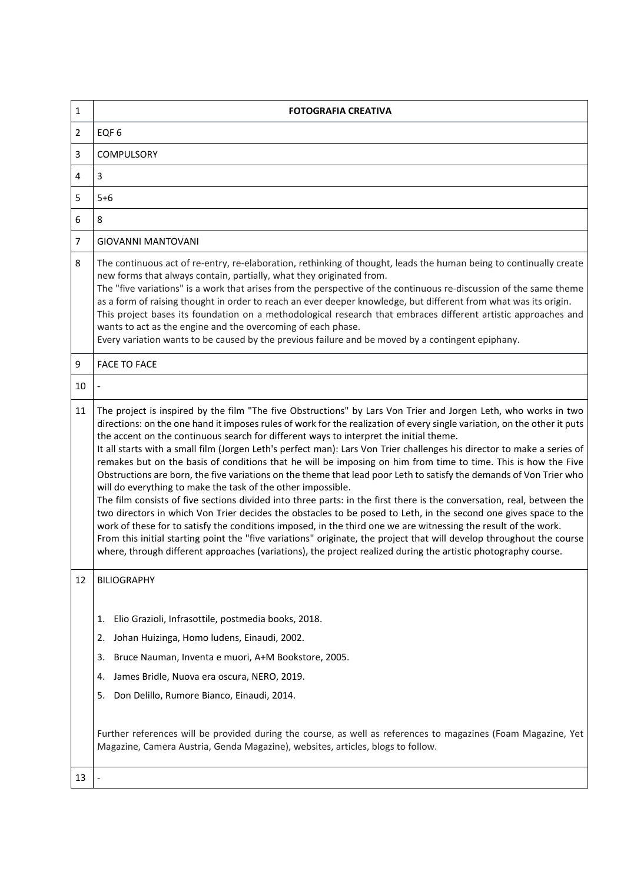| $\mathbf{1}$   | <b>FOTOGRAFIA CREATIVA</b>                                                                                                                                                                                                                                                                                                                                                                                                                                                                                                                                                                                                                                                                                                                                                                                                                                                                                                                                                                                                                                                                                                                                                                                                                                                                                                                                                            |
|----------------|---------------------------------------------------------------------------------------------------------------------------------------------------------------------------------------------------------------------------------------------------------------------------------------------------------------------------------------------------------------------------------------------------------------------------------------------------------------------------------------------------------------------------------------------------------------------------------------------------------------------------------------------------------------------------------------------------------------------------------------------------------------------------------------------------------------------------------------------------------------------------------------------------------------------------------------------------------------------------------------------------------------------------------------------------------------------------------------------------------------------------------------------------------------------------------------------------------------------------------------------------------------------------------------------------------------------------------------------------------------------------------------|
| $\overline{2}$ | EQF <sub>6</sub>                                                                                                                                                                                                                                                                                                                                                                                                                                                                                                                                                                                                                                                                                                                                                                                                                                                                                                                                                                                                                                                                                                                                                                                                                                                                                                                                                                      |
| 3              | COMPULSORY                                                                                                                                                                                                                                                                                                                                                                                                                                                                                                                                                                                                                                                                                                                                                                                                                                                                                                                                                                                                                                                                                                                                                                                                                                                                                                                                                                            |
| 4              | 3                                                                                                                                                                                                                                                                                                                                                                                                                                                                                                                                                                                                                                                                                                                                                                                                                                                                                                                                                                                                                                                                                                                                                                                                                                                                                                                                                                                     |
| 5              | $5 + 6$                                                                                                                                                                                                                                                                                                                                                                                                                                                                                                                                                                                                                                                                                                                                                                                                                                                                                                                                                                                                                                                                                                                                                                                                                                                                                                                                                                               |
| 6              | 8                                                                                                                                                                                                                                                                                                                                                                                                                                                                                                                                                                                                                                                                                                                                                                                                                                                                                                                                                                                                                                                                                                                                                                                                                                                                                                                                                                                     |
| $\overline{7}$ | <b>GIOVANNI MANTOVANI</b>                                                                                                                                                                                                                                                                                                                                                                                                                                                                                                                                                                                                                                                                                                                                                                                                                                                                                                                                                                                                                                                                                                                                                                                                                                                                                                                                                             |
| 8              | The continuous act of re-entry, re-elaboration, rethinking of thought, leads the human being to continually create<br>new forms that always contain, partially, what they originated from.<br>The "five variations" is a work that arises from the perspective of the continuous re-discussion of the same theme<br>as a form of raising thought in order to reach an ever deeper knowledge, but different from what was its origin.<br>This project bases its foundation on a methodological research that embraces different artistic approaches and<br>wants to act as the engine and the overcoming of each phase.<br>Every variation wants to be caused by the previous failure and be moved by a contingent epiphany.                                                                                                                                                                                                                                                                                                                                                                                                                                                                                                                                                                                                                                                           |
| 9              | <b>FACE TO FACE</b>                                                                                                                                                                                                                                                                                                                                                                                                                                                                                                                                                                                                                                                                                                                                                                                                                                                                                                                                                                                                                                                                                                                                                                                                                                                                                                                                                                   |
| 10             |                                                                                                                                                                                                                                                                                                                                                                                                                                                                                                                                                                                                                                                                                                                                                                                                                                                                                                                                                                                                                                                                                                                                                                                                                                                                                                                                                                                       |
| 11             | The project is inspired by the film "The five Obstructions" by Lars Von Trier and Jorgen Leth, who works in two<br>directions: on the one hand it imposes rules of work for the realization of every single variation, on the other it puts<br>the accent on the continuous search for different ways to interpret the initial theme.<br>It all starts with a small film (Jorgen Leth's perfect man): Lars Von Trier challenges his director to make a series of<br>remakes but on the basis of conditions that he will be imposing on him from time to time. This is how the Five<br>Obstructions are born, the five variations on the theme that lead poor Leth to satisfy the demands of Von Trier who<br>will do everything to make the task of the other impossible.<br>The film consists of five sections divided into three parts: in the first there is the conversation, real, between the<br>two directors in which Von Trier decides the obstacles to be posed to Leth, in the second one gives space to the<br>work of these for to satisfy the conditions imposed, in the third one we are witnessing the result of the work.<br>From this initial starting point the "five variations" originate, the project that will develop throughout the course<br>where, through different approaches (variations), the project realized during the artistic photography course. |
| 12             | <b>BILIOGRAPHY</b>                                                                                                                                                                                                                                                                                                                                                                                                                                                                                                                                                                                                                                                                                                                                                                                                                                                                                                                                                                                                                                                                                                                                                                                                                                                                                                                                                                    |
|                | Elio Grazioli, Infrasottile, postmedia books, 2018.<br>1.                                                                                                                                                                                                                                                                                                                                                                                                                                                                                                                                                                                                                                                                                                                                                                                                                                                                                                                                                                                                                                                                                                                                                                                                                                                                                                                             |
|                | Johan Huizinga, Homo ludens, Einaudi, 2002.<br>2.                                                                                                                                                                                                                                                                                                                                                                                                                                                                                                                                                                                                                                                                                                                                                                                                                                                                                                                                                                                                                                                                                                                                                                                                                                                                                                                                     |
|                | Bruce Nauman, Inventa e muori, A+M Bookstore, 2005.<br>3.                                                                                                                                                                                                                                                                                                                                                                                                                                                                                                                                                                                                                                                                                                                                                                                                                                                                                                                                                                                                                                                                                                                                                                                                                                                                                                                             |
|                | James Bridle, Nuova era oscura, NERO, 2019.<br>4.                                                                                                                                                                                                                                                                                                                                                                                                                                                                                                                                                                                                                                                                                                                                                                                                                                                                                                                                                                                                                                                                                                                                                                                                                                                                                                                                     |
|                | Don Delillo, Rumore Bianco, Einaudi, 2014.<br>5.                                                                                                                                                                                                                                                                                                                                                                                                                                                                                                                                                                                                                                                                                                                                                                                                                                                                                                                                                                                                                                                                                                                                                                                                                                                                                                                                      |
|                | Further references will be provided during the course, as well as references to magazines (Foam Magazine, Yet<br>Magazine, Camera Austria, Genda Magazine), websites, articles, blogs to follow.                                                                                                                                                                                                                                                                                                                                                                                                                                                                                                                                                                                                                                                                                                                                                                                                                                                                                                                                                                                                                                                                                                                                                                                      |
| 13             |                                                                                                                                                                                                                                                                                                                                                                                                                                                                                                                                                                                                                                                                                                                                                                                                                                                                                                                                                                                                                                                                                                                                                                                                                                                                                                                                                                                       |